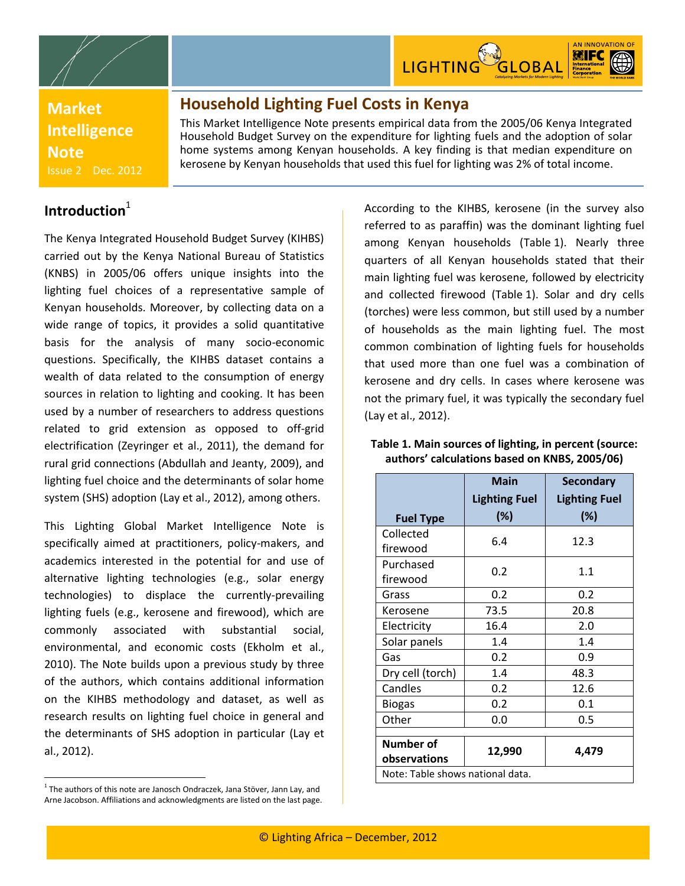



**Market Intelligence Note** Issue 2 Dec. 2012

## **Household Lighting Fuel Costs in Kenya**

This Market Intelligence Note presents empirical data from the 2005/06 Kenya Integrated Household Budget Survey on the expenditure for lighting fuels and the adoption of solar home systems among Kenyan households. A key finding is that median expenditure on kerosene by Kenyan households that used this fuel for lighting was 2% of total income.

## **Introduction**<sup>1</sup>

The Kenya Integrated Household Budget Survey (KIHBS) carried out by the Kenya National Bureau of Statistics (KNBS) in 2005/06 offers unique insights into the lighting fuel choices of a representative sample of Kenyan households. Moreover, by collecting data on a wide range of topics, it provides a solid quantitative basis for the analysis of many socio-economic questions. Specifically, the KIHBS dataset contains a wealth of data related to the consumption of energy sources in relation to lighting and cooking. It has been used by a number of researchers to address questions related to grid extension as opposed to off-grid electrification (Zeyringer et al., 2011), the demand for rural grid connections (Abdullah and Jeanty, 2009), and lighting fuel choice and the determinants of solar home system (SHS) adoption (Lay et al., 2012), among others.

This Lighting Global Market Intelligence Note is specifically aimed at practitioners, policy-makers, and academics interested in the potential for and use of alternative lighting technologies (e.g., solar energy technologies) to displace the currently-prevailing lighting fuels (e.g., kerosene and firewood), which are commonly associated with substantial social, environmental, and economic costs (Ekholm et al., 2010). The Note builds upon a previous study by three of the authors, which contains additional information on the KIHBS methodology and dataset, as well as research results on lighting fuel choice in general and the determinants of SHS adoption in particular (Lay et al., 2012).

 $\ddot{\phantom{a}}$ 

According to the KIHBS, kerosene (in the survey also referred to as paraffin) was the dominant lighting fuel among Kenyan households [\(Table](#page-0-0) 1). Nearly three quarters of all Kenyan households stated that their main lighting fuel was kerosene, followed by electricity and collected firewood [\(Table](#page-0-0) 1). Solar and dry cells (torches) were less common, but still used by a number of households as the main lighting fuel. The most common combination of lighting fuels for households that used more than one fuel was a combination of kerosene and dry cells. In cases where kerosene was not the primary fuel, it was typically the secondary fuel (Lay et al., 2012).

|                                  | <b>Main</b>          | <b>Secondary</b>     |  |  |
|----------------------------------|----------------------|----------------------|--|--|
|                                  | <b>Lighting Fuel</b> | <b>Lighting Fuel</b> |  |  |
| <b>Fuel Type</b>                 | (%)                  | (%)                  |  |  |
| Collected                        | 6.4                  | 12.3                 |  |  |
| firewood                         |                      |                      |  |  |
| Purchased                        | 0.2                  | 1.1                  |  |  |
| firewood                         |                      |                      |  |  |
| Grass                            | 0.2                  | 0.2                  |  |  |
| Kerosene                         | 73.5                 | 20.8                 |  |  |
| Electricity                      | 16.4                 | 2.0                  |  |  |
| Solar panels                     | 1.4                  | 1.4                  |  |  |
| Gas                              | 0.2                  | 0.9                  |  |  |
| Dry cell (torch)                 | 1.4                  | 48.3                 |  |  |
| Candles                          | 0.2                  | 12.6                 |  |  |
| <b>Biogas</b>                    | 0.2                  | 0.1                  |  |  |
| Other                            | 0.0                  | 0.5                  |  |  |
|                                  |                      |                      |  |  |
| Number of                        | 12,990               | 4,479                |  |  |
| observations                     |                      |                      |  |  |
| Note: Table shows national data. |                      |                      |  |  |

#### <span id="page-0-0"></span>**Table 1. Main sources of lighting, in percent (source: authors' calculations based on KNBS, 2005/06)**

 $<sup>1</sup>$  The authors of this note are Janosch Ondraczek, Jana Stöver, Jann Lay, and</sup> Arne Jacobson. Affiliations and acknowledgments are listed on the last page.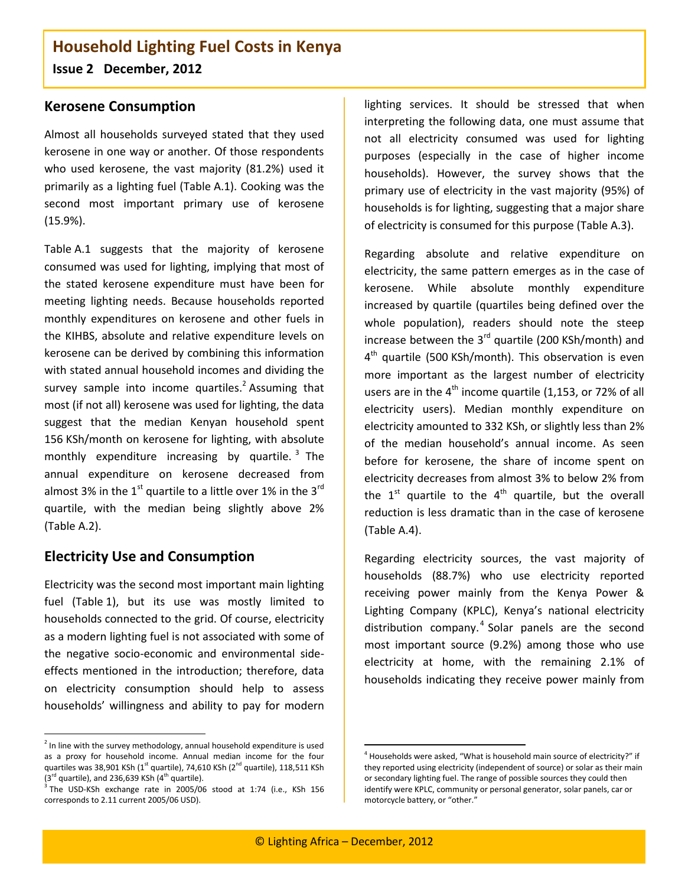### **Kerosene Consumption**

Almost all households surveyed stated that they used kerosene in one way or another. Of those respondents who used kerosene, the vast majority (81.2%) used it primarily as a lighting fuel [\(Table](#page-5-0) A.1). Cooking was the second most important primary use of kerosene (15.9%).

[Table](#page-5-0) A.1 suggests that the majority of kerosene consumed was used for lighting, implying that most of the stated kerosene expenditure must have been for meeting lighting needs. Because households reported monthly expenditures on kerosene and other fuels in the KIHBS, absolute and relative expenditure levels on kerosene can be derived by combining this information with stated annual household incomes and dividing the survey sample into income quartiles.<sup>2</sup> Assuming that most (if not all) kerosene was used for lighting, the data suggest that the median Kenyan household spent 156 KSh/month on kerosene for lighting, with absolute monthly expenditure increasing by quartile.<sup>3</sup> The annual expenditure on kerosene decreased from almost 3% in the  $1<sup>st</sup>$  quartile to a little over 1% in the 3<sup>rd</sup> quartile, with the median being slightly above 2% [\(Table](#page-5-1) A.2).

### **Electricity Use and Consumption**

 $\ddot{\phantom{a}}$ 

Electricity was the second most important main lighting fuel [\(Table](#page-0-0) 1), but its use was mostly limited to households connected to the grid. Of course, electricity as a modern lighting fuel is not associated with some of the negative socio-economic and environmental sideeffects mentioned in the introduction; therefore, data on electricity consumption should help to assess households' willingness and ability to pay for modern lighting services. It should be stressed that when interpreting the following data, one must assume that not all electricity consumed was used for lighting purposes (especially in the case of higher income households). However, the survey shows that the primary use of electricity in the vast majority (95%) of households is for lighting, suggesting that a major share of electricity is consumed for this purpose [\(Table](#page-5-2) A.3).

Regarding absolute and relative expenditure on electricity, the same pattern emerges as in the case of kerosene. While absolute monthly expenditure increased by quartile (quartiles being defined over the whole population), readers should note the steep increase between the  $3^{rd}$  quartile (200 KSh/month) and 4<sup>th</sup> quartile (500 KSh/month). This observation is even more important as the largest number of electricity users are in the  $4<sup>th</sup>$  income quartile (1,153, or 72% of all electricity users). Median monthly expenditure on electricity amounted to 332 KSh, or slightly less than 2% of the median household's annual income. As seen before for kerosene, the share of income spent on electricity decreases from almost 3% to below 2% from the  $1^{st}$  quartile to the  $4^{th}$  quartile, but the overall reduction is less dramatic than in the case of kerosene [\(Table](#page-6-0) A.4).

Regarding electricity sources, the vast majority of households (88.7%) who use electricity reported receiving power mainly from the Kenya Power & Lighting Company (KPLC), Kenya's national electricity distribution company.<sup>4</sup> Solar panels are the second most important source (9.2%) among those who use electricity at home, with the remaining 2.1% of households indicating they receive power mainly from

1

 $2$  In line with the survey methodology, annual household expenditure is used as a proxy for household income. Annual median income for the four quartiles was 38,901 KSh ( $1<sup>st</sup>$  quartile), 74,610 KSh ( $2<sup>nd</sup>$  quartile), 118,511 KSh  $(3^{rd}$  quartile), and 236,639 KSh  $(4^{th}$  quartile).

<sup>&</sup>lt;sup>3</sup> The USD-KSh exchange rate in 2005/06 stood at 1:74 (i.e., KSh 156 corresponds to 2.11 current 2005/06 USD).

<sup>&</sup>lt;sup>4</sup> Households were asked, "What is household main source of electricity?" if they reported using electricity (independent of source) or solar as their main or secondary lighting fuel. The range of possible sources they could then identify were KPLC, community or personal generator, solar panels, car or motorcycle battery, or "other."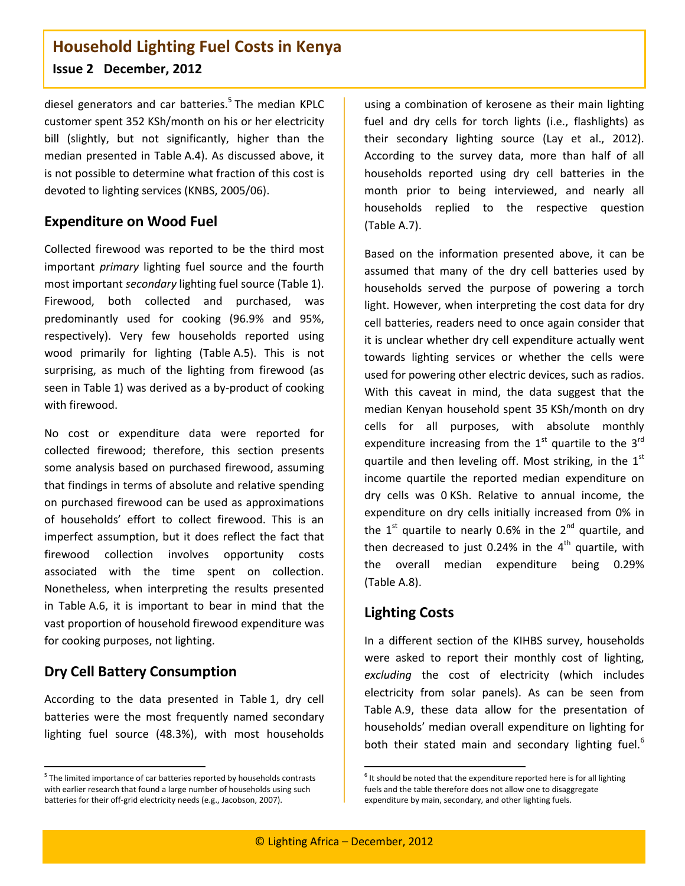diesel generators and car batteries.<sup>5</sup> The median KPLC customer spent 352 KSh/month on his or her electricity bill (slightly, but not significantly, higher than the median presented in [Table](#page-6-0) A.4). As discussed above, it is not possible to determine what fraction of this cost is devoted to lighting services (KNBS, 2005/06).

## **Expenditure on Wood Fuel**

Collected firewood was reported to be the third most important *primary* lighting fuel source and the fourth most important *secondary* lighting fuel source [\(Table](#page-0-0) 1). Firewood, both collected and purchased, was predominantly used for cooking (96.9% and 95%, respectively). Very few households reported using wood primarily for lighting [\(Table](#page-6-1) A.5). This is not surprising, as much of the lighting from firewood (as seen in [Table](#page-0-0) 1) was derived as a by-product of cooking with firewood.

No cost or expenditure data were reported for collected firewood; therefore, this section presents some analysis based on purchased firewood, assuming that findings in terms of absolute and relative spending on purchased firewood can be used as approximations of households' effort to collect firewood. This is an imperfect assumption, but it does reflect the fact that firewood collection involves opportunity costs associated with the time spent on collection. Nonetheless, when interpreting the results presented in [Table](#page-6-2) A.6, it is important to bear in mind that the vast proportion of household firewood expenditure was for cooking purposes, not lighting.

# **Dry Cell Battery Consumption**

 $\ddot{\phantom{a}}$ 

According to the data presented in [Table](#page-0-0) 1, dry cell batteries were the most frequently named secondary lighting fuel source (48.3%), with most households

using a combination of kerosene as their main lighting fuel and dry cells for torch lights (i.e., flashlights) as their secondary lighting source (Lay et al., 2012). According to the survey data, more than half of all households reported using dry cell batteries in the month prior to being interviewed, and nearly all households replied to the respective question [\(Table](#page-7-0) A.7).

Based on the information presented above, it can be assumed that many of the dry cell batteries used by households served the purpose of powering a torch light. However, when interpreting the cost data for dry cell batteries, readers need to once again consider that it is unclear whether dry cell expenditure actually went towards lighting services or whether the cells were used for powering other electric devices, such as radios. With this caveat in mind, the data suggest that the median Kenyan household spent 35 KSh/month on dry cells for all purposes, with absolute monthly expenditure increasing from the  $1<sup>st</sup>$  quartile to the  $3<sup>rd</sup>$ quartile and then leveling off. Most striking, in the  $1<sup>st</sup>$ income quartile the reported median expenditure on dry cells was 0 KSh. Relative to annual income, the expenditure on dry cells initially increased from 0% in the  $1<sup>st</sup>$  quartile to nearly 0.6% in the  $2<sup>nd</sup>$  quartile, and then decreased to just 0.24% in the  $4<sup>th</sup>$  quartile, with the overall median expenditure being 0.29% [\(Table](#page-7-1) A.8).

## **Lighting Costs**

In a different section of the KIHBS survey, households were asked to report their monthly cost of lighting, *excluding* the cost of electricity (which includes electricity from solar panels). As can be seen from [Table](#page-7-2) A.9, these data allow for the presentation of households' median overall expenditure on lighting for both their stated main and secondary lighting fuel.<sup>6</sup>

1

<sup>&</sup>lt;sup>5</sup> The limited importance of car batteries reported by households contrasts with earlier research that found a large number of households using such batteries for their off-grid electricity needs (e.g., Jacobson, 2007).

 $<sup>6</sup>$  It should be noted that the expenditure reported here is for all lighting</sup> fuels and the table therefore does not allow one to disaggregate expenditure by main, secondary, and other lighting fuels.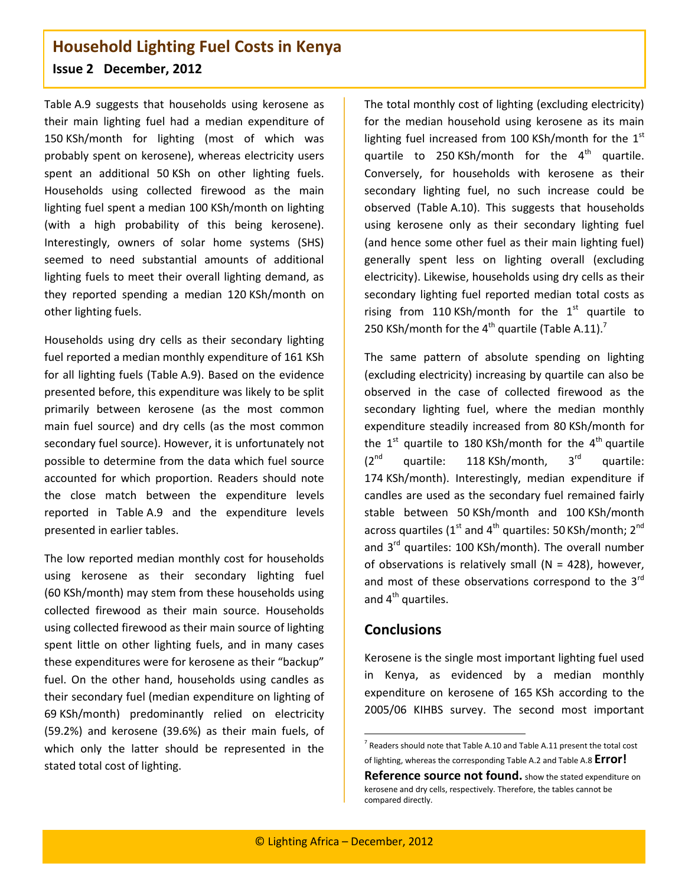[Table](#page-7-2) A.9 suggests that households using kerosene as their main lighting fuel had a median expenditure of 150 KSh/month for lighting (most of which was probably spent on kerosene), whereas electricity users spent an additional 50 KSh on other lighting fuels. Households using collected firewood as the main lighting fuel spent a median 100 KSh/month on lighting (with a high probability of this being kerosene). Interestingly, owners of solar home systems (SHS) seemed to need substantial amounts of additional lighting fuels to meet their overall lighting demand, as they reported spending a median 120 KSh/month on other lighting fuels.

Households using dry cells as their secondary lighting fuel reported a median monthly expenditure of 161 KSh for all lighting fuels [\(Table](#page-7-2) A.9). Based on the evidence presented before, this expenditure was likely to be split primarily between kerosene (as the most common main fuel source) and dry cells (as the most common secondary fuel source). However, it is unfortunately not possible to determine from the data which fuel source accounted for which proportion. Readers should note the close match between the expenditure levels reported in [Table](#page-7-2) A.9 and the expenditure levels presented in earlier tables.

The low reported median monthly cost for households using kerosene as their secondary lighting fuel (60 KSh/month) may stem from these households using collected firewood as their main source. Households using collected firewood as their main source of lighting spent little on other lighting fuels, and in many cases these expenditures were for kerosene as their "backup" fuel. On the other hand, households using candles as their secondary fuel (median expenditure on lighting of 69 KSh/month) predominantly relied on electricity (59.2%) and kerosene (39.6%) as their main fuels, of which only the latter should be represented in the stated total cost of lighting.

The total monthly cost of lighting (excluding electricity) for the median household using kerosene as its main lighting fuel increased from 100 KSh/month for the  $1<sup>st</sup>$ quartile to 250 KSh/month for the  $4<sup>th</sup>$  quartile. Conversely, for households with kerosene as their secondary lighting fuel, no such increase could be observed [\(Table](#page-8-0) A.10). This suggests that households using kerosene only as their secondary lighting fuel (and hence some other fuel as their main lighting fuel) generally spent less on lighting overall (excluding electricity). Likewise, households using dry cells as their secondary lighting fuel reported median total costs as rising from 110 KSh/month for the  $1<sup>st</sup>$  quartile to 250 KSh/month for the  $4<sup>th</sup>$  quartile [\(Table](#page-8-1) A.11).<sup>7</sup>

The same pattern of absolute spending on lighting (excluding electricity) increasing by quartile can also be observed in the case of collected firewood as the secondary lighting fuel, where the median monthly expenditure steadily increased from 80 KSh/month for the  $1<sup>st</sup>$  quartile to 180 KSh/month for the  $4<sup>th</sup>$  quartile  $(2^{nd}$  quartile: 118 KSh/month,  $3^{rd}$  quartile: 174 KSh/month). Interestingly, median expenditure if candles are used as the secondary fuel remained fairly stable between 50 KSh/month and 100 KSh/month across quartiles ( $1<sup>st</sup>$  and  $4<sup>th</sup>$  quartiles: 50 KSh/month;  $2<sup>nd</sup>$ and 3<sup>rd</sup> quartiles: 100 KSh/month). The overall number of observations is relatively small ( $N = 428$ ), however, and most of these observations correspond to the  $3<sup>rd</sup>$ and  $4<sup>th</sup>$  quartiles.

### **Conclusions**

Kerosene is the single most important lighting fuel used in Kenya, as evidenced by a median monthly expenditure on kerosene of 165 KSh according to the 2005/06 KIHBS survey. The second most important

1

 $7$  Readers should note tha[t Table](#page-8-0) A.10 an[d Table](#page-8-1) A.11 present the total cost of lighting, whereas the correspondin[g Table](#page-5-1) A.2 an[d Table](#page-7-1) A.8 **Error!** 

**Reference source not found.** show the stated expenditure on kerosene and dry cells, respectively. Therefore, the tables cannot be compared directly.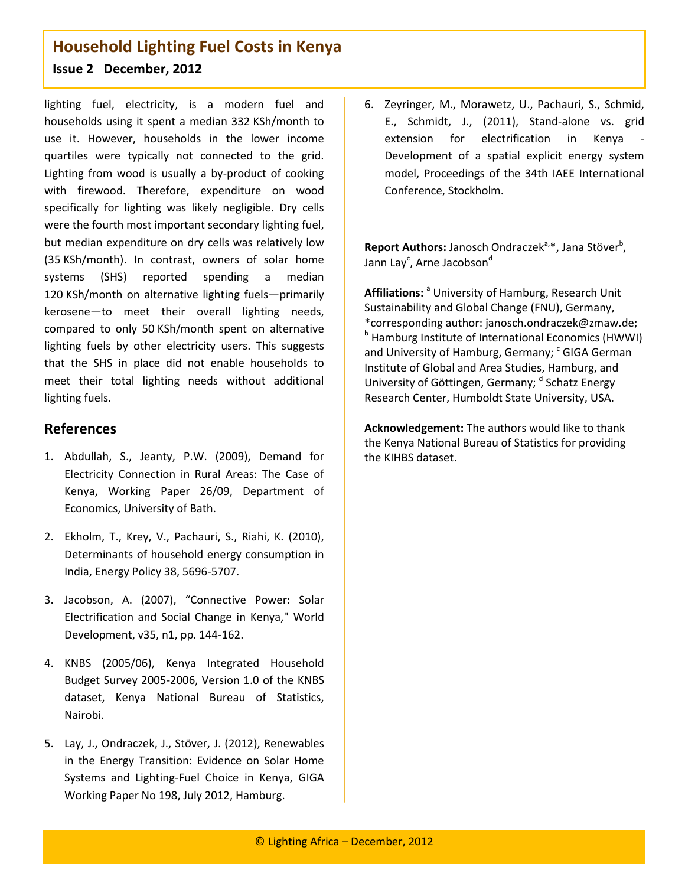lighting fuel, electricity, is a modern fuel and households using it spent a median 332 KSh/month to use it. However, households in the lower income quartiles were typically not connected to the grid. Lighting from wood is usually a by-product of cooking with firewood. Therefore, expenditure on wood specifically for lighting was likely negligible. Dry cells were the fourth most important secondary lighting fuel, but median expenditure on dry cells was relatively low (35 KSh/month). In contrast, owners of solar home systems (SHS) reported spending a median 120 KSh/month on alternative lighting fuels—primarily kerosene—to meet their overall lighting needs, compared to only 50 KSh/month spent on alternative lighting fuels by other electricity users. This suggests that the SHS in place did not enable households to meet their total lighting needs without additional lighting fuels.

## **References**

- 1. Abdullah, S., Jeanty, P.W. (2009), Demand for Electricity Connection in Rural Areas: The Case of Kenya, Working Paper 26/09, Department of Economics, University of Bath.
- 2. Ekholm, T., Krey, V., Pachauri, S., Riahi, K. (2010), Determinants of household energy consumption in India, Energy Policy 38, 5696-5707.
- 3. Jacobson, A. (2007), "Connective Power: Solar Electrification and Social Change in Kenya," World Development, v35, n1, pp. 144-162.
- 4. KNBS (2005/06), Kenya Integrated Household Budget Survey 2005-2006, Version 1.0 of the KNBS dataset, Kenya National Bureau of Statistics, Nairobi.
- 5. Lay, J., Ondraczek, J., Stöver, J. (2012), Renewables in the Energy Transition: Evidence on Solar Home Systems and Lighting-Fuel Choice in Kenya, GIGA Working Paper No 198, July 2012, Hamburg.

6. Zeyringer, M., Morawetz, U., Pachauri, S., Schmid, E., Schmidt, J., (2011), Stand-alone vs. grid extension for electrification in Kenya Development of a spatial explicit energy system model, Proceedings of the 34th IAEE International Conference, Stockholm.

Report Authors: Janosch Ondraczek<sup>a,\*</sup>, Jana Stöver<sup>b</sup>, Jann Lay<sup>c</sup>, Arne Jacobson<sup>d</sup>

Affiliations: <sup>a</sup> University of Hamburg, Research Unit Sustainability and Global Change (FNU), Germany, \*corresponding author: janosch.ondraczek@zmaw.de; **b** Hamburg Institute of International Economics (HWWI) and University of Hamburg, Germany; <sup>c</sup> GIGA German Institute of Global and Area Studies, Hamburg, and University of Göttingen, Germany; d Schatz Energy Research Center, Humboldt State University, USA.

**Acknowledgement:** The authors would like to thank the Kenya National Bureau of Statistics for providing the KIHBS dataset.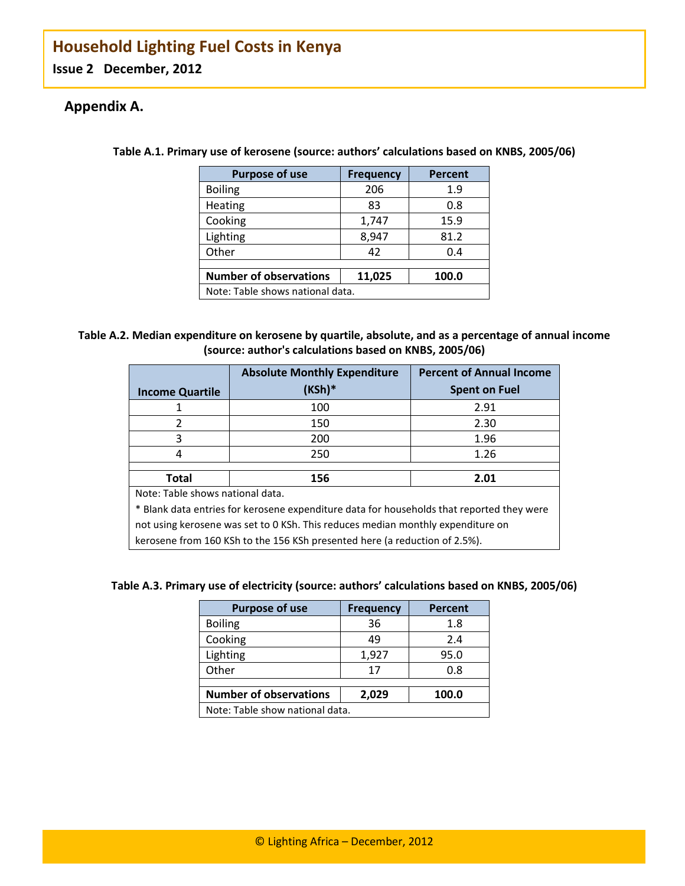# <span id="page-5-0"></span>**Appendix A.**

| <b>Purpose of use</b>            | <b>Frequency</b> | Percent |  |
|----------------------------------|------------------|---------|--|
| <b>Boiling</b>                   | 206              | 1.9     |  |
| Heating                          | 83               | 0.8     |  |
| Cooking                          | 1,747            | 15.9    |  |
| Lighting                         | 8,947            | 81.2    |  |
| Other                            | 42               | 0.4     |  |
|                                  |                  |         |  |
| <b>Number of observations</b>    | 11,025           | 100.0   |  |
| Note: Table shows national data. |                  |         |  |

**Table A.1. Primary use of kerosene (source: authors' calculations based on KNBS, 2005/06)**

### <span id="page-5-1"></span>**Table A.2. Median expenditure on kerosene by quartile, absolute, and as a percentage of annual income (source: author's calculations based on KNBS, 2005/06)**

|                                                                                           | <b>Absolute Monthly Expenditure</b> | <b>Percent of Annual Income</b> |  |  |
|-------------------------------------------------------------------------------------------|-------------------------------------|---------------------------------|--|--|
| <b>Income Quartile</b>                                                                    | (KSh)*                              | <b>Spent on Fuel</b>            |  |  |
| 1                                                                                         | 100                                 | 2.91                            |  |  |
| 2                                                                                         | 150                                 | 2.30                            |  |  |
| 3                                                                                         | 200                                 | 1.96                            |  |  |
| 4                                                                                         | 250                                 | 1.26                            |  |  |
|                                                                                           |                                     |                                 |  |  |
| Total                                                                                     | 156<br>2.01                         |                                 |  |  |
| Note: Table shows national data.                                                          |                                     |                                 |  |  |
| * Blank data entries for kerosene expenditure data for households that reported they were |                                     |                                 |  |  |
| not using kerosene was set to 0 KSh. This reduces median monthly expenditure on           |                                     |                                 |  |  |
| kerosene from 160 KSh to the 156 KSh presented here (a reduction of 2.5%).                |                                     |                                 |  |  |

#### <span id="page-5-2"></span>**Table A.3. Primary use of electricity (source: authors' calculations based on KNBS, 2005/06)**

| <b>Purpose of use</b>                           | <b>Frequency</b> | <b>Percent</b> |  |
|-------------------------------------------------|------------------|----------------|--|
| <b>Boiling</b>                                  | 36               | 1.8            |  |
| Cooking                                         | 49               | 2.4            |  |
| Lighting                                        | 1,927            | 95.0           |  |
| Other                                           | 17               | 0.8            |  |
|                                                 |                  |                |  |
| <b>Number of observations</b><br>100.0<br>2,029 |                  |                |  |
| Note: Table show national data.                 |                  |                |  |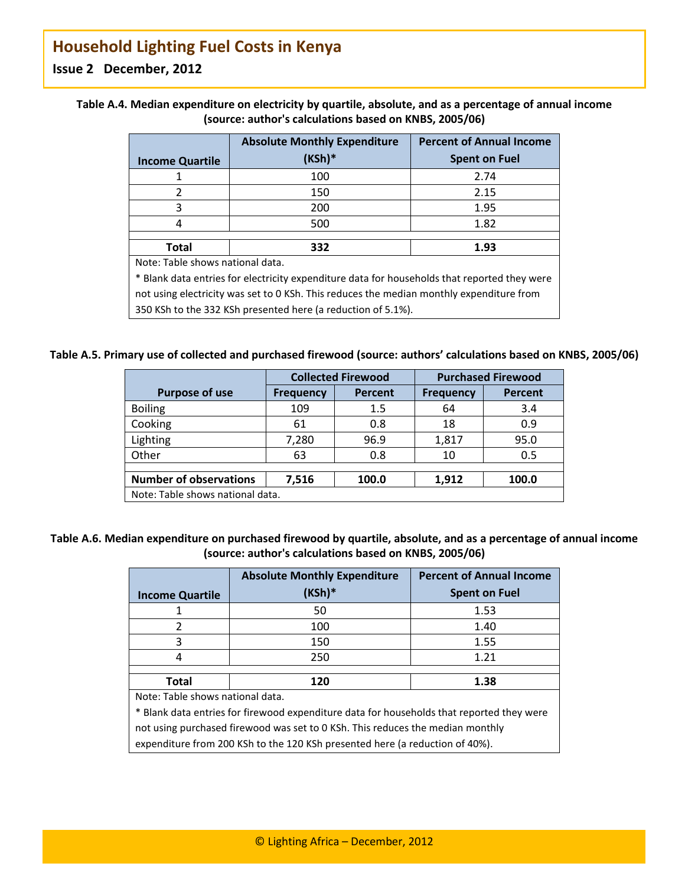|                                  | <b>Absolute Monthly Expenditure</b> | <b>Percent of Annual Income</b> |
|----------------------------------|-------------------------------------|---------------------------------|
| <b>Income Quartile</b>           | $(KSh)^*$                           | <b>Spent on Fuel</b>            |
|                                  | 100                                 | 2.74                            |
| 2                                | 150                                 | 2.15                            |
| 3                                | 200                                 | 1.95                            |
|                                  | 500                                 | 1.82                            |
| <b>Total</b>                     | 332                                 | 1.93                            |
| Note: Table shows national data. |                                     |                                 |

<span id="page-6-0"></span>

| Table A.4. Median expenditure on electricity by quartile, absolute, and as a percentage of annual income |
|----------------------------------------------------------------------------------------------------------|
| (source: author's calculations based on KNBS, 2005/06)                                                   |

\* Blank data entries for electricity expenditure data for households that reported they were not using electricity was set to 0 KSh. This reduces the median monthly expenditure from 350 KSh to the 332 KSh presented here (a reduction of 5.1%).

#### <span id="page-6-1"></span>**Table A.5. Primary use of collected and purchased firewood (source: authors' calculations based on KNBS, 2005/06)**

|                                  | <b>Collected Firewood</b> |                | <b>Purchased Firewood</b> |                |
|----------------------------------|---------------------------|----------------|---------------------------|----------------|
| <b>Purpose of use</b>            | <b>Frequency</b>          | <b>Percent</b> | <b>Frequency</b>          | <b>Percent</b> |
| <b>Boiling</b>                   | 109                       | 1.5            | 64                        | 3.4            |
| Cooking                          | 61                        | 0.8            | 18                        | 0.9            |
| Lighting                         | 7,280                     | 96.9           | 1,817                     | 95.0           |
| Other                            | 63                        | 0.8            | 10                        | 0.5            |
|                                  |                           |                |                           |                |
| <b>Number of observations</b>    | 7,516                     | 100.0          | 1,912                     | 100.0          |
| Note: Table shows national data. |                           |                |                           |                |

### <span id="page-6-2"></span>**Table A.6. Median expenditure on purchased firewood by quartile, absolute, and as a percentage of annual income (source: author's calculations based on KNBS, 2005/06)**

|                                                                                           | <b>Absolute Monthly Expenditure</b>                                          | <b>Percent of Annual Income</b> |  |  |
|-------------------------------------------------------------------------------------------|------------------------------------------------------------------------------|---------------------------------|--|--|
| <b>Income Quartile</b>                                                                    | (KSh)*                                                                       | <b>Spent on Fuel</b>            |  |  |
| 1                                                                                         | 50                                                                           | 1.53                            |  |  |
| 2                                                                                         | 100                                                                          | 1.40                            |  |  |
| 3                                                                                         | 150                                                                          | 1.55                            |  |  |
| 4                                                                                         | 250                                                                          | 1.21                            |  |  |
|                                                                                           |                                                                              |                                 |  |  |
| Total                                                                                     | 120<br>1.38                                                                  |                                 |  |  |
| Note: Table shows national data.                                                          |                                                                              |                                 |  |  |
| * Blank data entries for firewood expenditure data for households that reported they were |                                                                              |                                 |  |  |
| not using purchased firewood was set to 0 KSh. This reduces the median monthly            |                                                                              |                                 |  |  |
|                                                                                           | expenditure from 200 KSh to the 120 KSh presented here (a reduction of 40%). |                                 |  |  |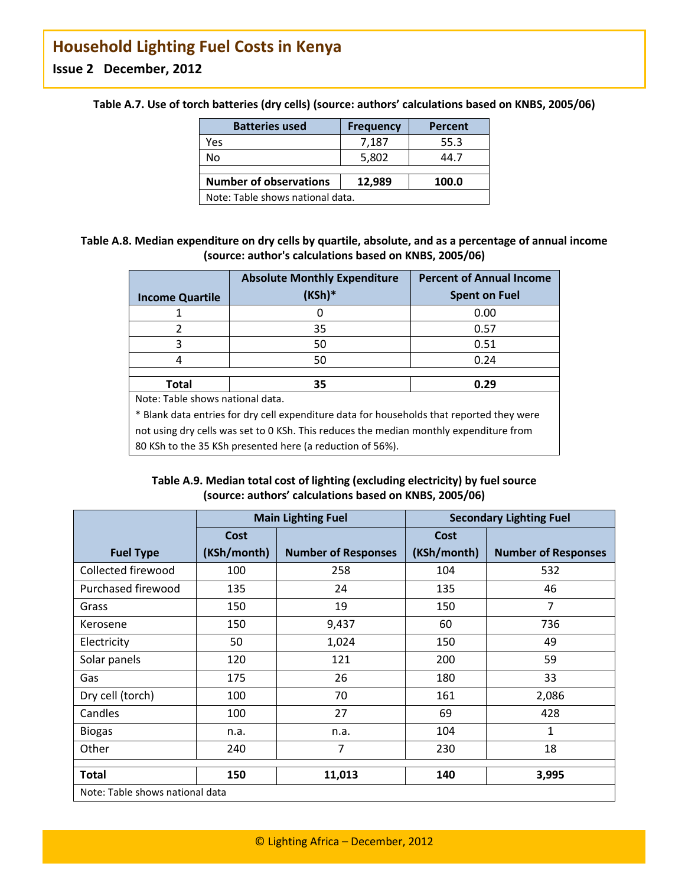| <b>Batteries used</b>                            | <b>Frequency</b> | <b>Percent</b> |  |  |
|--------------------------------------------------|------------------|----------------|--|--|
| Yes                                              | 7,187            | 55.3           |  |  |
| No                                               | 5,802            | 44.7           |  |  |
|                                                  |                  |                |  |  |
| <b>Number of observations</b><br>12,989<br>100.0 |                  |                |  |  |
| Note: Table shows national data.                 |                  |                |  |  |

<span id="page-7-0"></span>**Table A.7. Use of torch batteries (dry cells) (source: authors' calculations based on KNBS, 2005/06)**

### <span id="page-7-1"></span>**Table A.8. Median expenditure on dry cells by quartile, absolute, and as a percentage of annual income (source: author's calculations based on KNBS, 2005/06)**

|                                                                                           | <b>Absolute Monthly Expenditure</b> | <b>Percent of Annual Income</b> |  |  |
|-------------------------------------------------------------------------------------------|-------------------------------------|---------------------------------|--|--|
| <b>Income Quartile</b>                                                                    | $(KSh)^*$                           | <b>Spent on Fuel</b>            |  |  |
|                                                                                           | 0                                   | 0.00                            |  |  |
| 2                                                                                         | 35                                  | 0.57                            |  |  |
| 3                                                                                         | 50                                  | 0.51                            |  |  |
| 4                                                                                         | 50                                  | 0.24                            |  |  |
|                                                                                           |                                     |                                 |  |  |
| Total                                                                                     | 35<br>0.29                          |                                 |  |  |
| Note: Table shows national data.                                                          |                                     |                                 |  |  |
| * Blank data entries for dry cell expenditure data for households that reported they were |                                     |                                 |  |  |
| not using dry cells was set to 0 KSh. This reduces the median monthly expenditure from    |                                     |                                 |  |  |
| 80 KSh to the 35 KSh presented here (a reduction of 56%).                                 |                                     |                                 |  |  |

### **Table A.9. Median total cost of lighting (excluding electricity) by fuel source (source: authors' calculations based on KNBS, 2005/06)**

<span id="page-7-2"></span>

|                                 | <b>Main Lighting Fuel</b> |                            | <b>Secondary Lighting Fuel</b> |                            |
|---------------------------------|---------------------------|----------------------------|--------------------------------|----------------------------|
|                                 | Cost                      |                            | Cost                           |                            |
| <b>Fuel Type</b>                | (KSh/month)               | <b>Number of Responses</b> | (KSh/month)                    | <b>Number of Responses</b> |
| Collected firewood              | 100                       | 258                        | 104                            | 532                        |
| Purchased firewood              | 135                       | 24                         | 135                            | 46                         |
| Grass                           | 150                       | 19                         | 150                            | $\overline{7}$             |
| Kerosene                        | 150                       | 9,437                      | 60                             | 736                        |
| Electricity                     | 50                        | 1,024                      | 150                            | 49                         |
| Solar panels                    | 120                       | 121                        | 200                            | 59                         |
| Gas                             | 175                       | 26                         | 180                            | 33                         |
| Dry cell (torch)                | 100                       | 70                         | 161                            | 2,086                      |
| Candles                         | 100                       | 27                         | 69                             | 428                        |
| <b>Biogas</b>                   | n.a.                      | n.a.                       | 104                            | 1                          |
| Other                           | 240                       | $\overline{7}$             | 230                            | 18                         |
| <b>Total</b>                    | 150                       | 11,013                     | 140                            | 3,995                      |
| Note: Table shows national data |                           |                            |                                |                            |